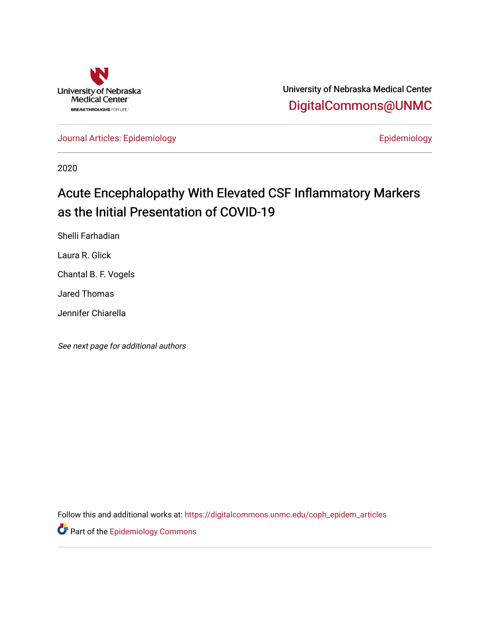

University of Nebraska Medical Center [DigitalCommons@UNMC](https://digitalcommons.unmc.edu/) 

[Journal Articles: Epidemiology](https://digitalcommons.unmc.edu/coph_epidem_articles) **Example 2018** Epidemiology

2020

# Acute Encephalopathy With Elevated CSF Inflammatory Markers as the Initial Presentation of COVID-19

Shelli Farhadian

Laura R. Glick

Chantal B. F. Vogels

Jared Thomas

Jennifer Chiarella

See next page for additional authors

Follow this and additional works at: [https://digitalcommons.unmc.edu/coph\\_epidem\\_articles](https://digitalcommons.unmc.edu/coph_epidem_articles?utm_source=digitalcommons.unmc.edu%2Fcoph_epidem_articles%2F73&utm_medium=PDF&utm_campaign=PDFCoverPages)

**Part of the Epidemiology Commons**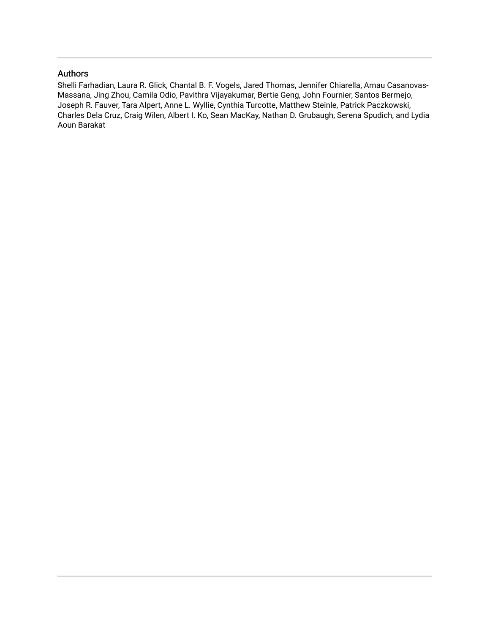## Authors

Shelli Farhadian, Laura R. Glick, Chantal B. F. Vogels, Jared Thomas, Jennifer Chiarella, Arnau Casanovas-Massana, Jing Zhou, Camila Odio, Pavithra Vijayakumar, Bertie Geng, John Fournier, Santos Bermejo, Joseph R. Fauver, Tara Alpert, Anne L. Wyllie, Cynthia Turcotte, Matthew Steinle, Patrick Paczkowski, Charles Dela Cruz, Craig Wilen, Albert I. Ko, Sean MacKay, Nathan D. Grubaugh, Serena Spudich, and Lydia Aoun Barakat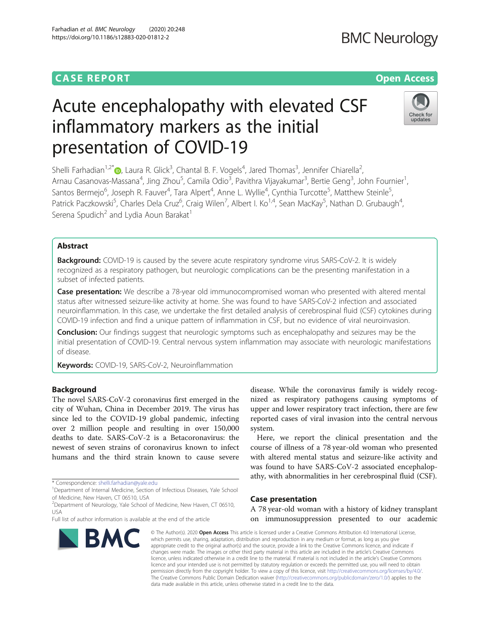## **CASE REPORT CASE ACCESS**

# Acute encephalopathy with elevated CSF inflammatory markers as the initial presentation of COVID-19

Shelli Farhadian<sup>1,2\*</sup> $\bullet$ , Laura R. Glick<sup>3</sup>, Chantal B. F. Vogels<sup>4</sup>, Jared Thomas<sup>3</sup>, Jennifer Chiarella<sup>2</sup> , Arnau Casanovas-Massana<sup>4</sup>, Jing Zhou<sup>5</sup>, Camila Odio<sup>3</sup>, Pavithra Vijayakumar<sup>3</sup>, Bertie Geng<sup>3</sup>, John Fournier<sup>1</sup> , Santos Bermejo<sup>6</sup>, Joseph R. Fauver<sup>4</sup>, Tara Alpert<sup>4</sup>, Anne L. Wyllie<sup>4</sup>, Cynthia Turcotte<sup>5</sup>, Matthew Steinle<sup>5</sup> , Patrick Paczkowski<sup>5</sup>, Charles Dela Cruz<sup>6</sup>, Craig Wilen<sup>7</sup>, Albert I. Ko<sup>1,4</sup>, Sean MacKay<sup>5</sup>, Nathan D. Grubaugh<sup>4</sup> , Serena Spudich<sup>2</sup> and Lydia Aoun Barakat<sup>1</sup>

### Abstract

Background: COVID-19 is caused by the severe acute respiratory syndrome virus SARS-CoV-2. It is widely recognized as a respiratory pathogen, but neurologic complications can be the presenting manifestation in a subset of infected patients.

**Case presentation:** We describe a 78-year old immunocompromised woman who presented with altered mental status after witnessed seizure-like activity at home. She was found to have SARS-CoV-2 infection and associated neuroinflammation. In this case, we undertake the first detailed analysis of cerebrospinal fluid (CSF) cytokines during COVID-19 infection and find a unique pattern of inflammation in CSF, but no evidence of viral neuroinvasion.

**Conclusion:** Our findings suggest that neurologic symptoms such as encephalopathy and seizures may be the initial presentation of COVID-19. Central nervous system inflammation may associate with neurologic manifestations of disease.

Keywords: COVID-19, SARS-CoV-2, Neuroinflammation

#### Background

The novel SARS-CoV-2 coronavirus first emerged in the city of Wuhan, China in December 2019. The virus has since led to the COVID-19 global pandemic, infecting over 2 million people and resulting in over 150,000 deaths to date. SARS-CoV-2 is a Betacoronavirus: the newest of seven strains of coronavirus known to infect humans and the third strain known to cause severe

disease. While the coronavirus family is widely recognized as respiratory pathogens causing symptoms of upper and lower respiratory tract infection, there are few reported cases of viral invasion into the central nervous system. Here, we report the clinical presentation and the

course of illness of a 78 year-old woman who presented with altered mental status and seizure-like activity and was found to have SARS-CoV-2 associated encephalopathy, with abnormalities in her cerebrospinal fluid (CSF).

#### Case presentation

A 78 year-old woman with a history of kidney transplant on immunosuppression presented to our academic

© The Author(s). 2020 Open Access This article is licensed under a Creative Commons Attribution 4.0 International License, which permits use, sharing, adaptation, distribution and reproduction in any medium or format, as long as you give appropriate credit to the original author(s) and the source, provide a link to the Creative Commons licence, and indicate if changes were made. The images or other third party material in this article are included in the article's Creative Commons licence, unless indicated otherwise in a credit line to the material. If material is not included in the article's Creative Commons licence and your intended use is not permitted by statutory regulation or exceeds the permitted use, you will need to obtain permission directly from the copyright holder. To view a copy of this licence, visit http://creativecommons.org/licenses/by/4.0/. The Creative Commons Public Domain Dedication waiver (http://creativecommons.org/publicdomain/zero/1.0/) applies to the data made available in this article, unless otherwise stated in a credit line to the data.

# **BMC Neurology**







<sup>\*</sup> Correspondence: shelli.farhadian@yale.edu

<sup>&</sup>lt;sup>1</sup>Department of Internal Medicine, Section of Infectious Diseases, Yale School of Medicine, New Haven, CT 06510, USA

<sup>&</sup>lt;sup>2</sup>Department of Neurology, Yale School of Medicine, New Haven, CT 06510, USA

Full list of author information is available at the end of the article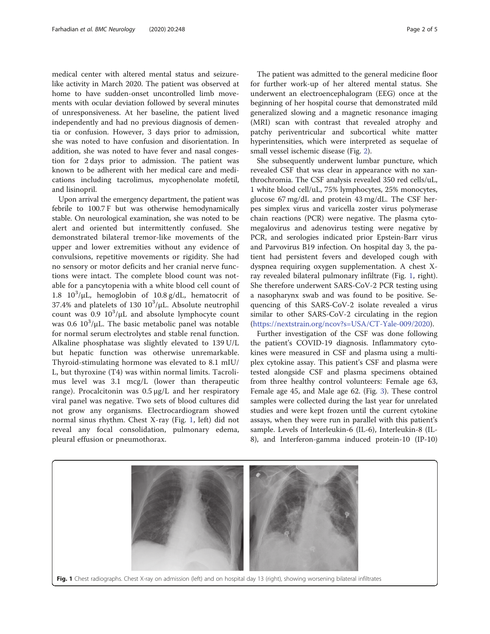medical center with altered mental status and seizurelike activity in March 2020. The patient was observed at home to have sudden-onset uncontrolled limb movements with ocular deviation followed by several minutes of unresponsiveness. At her baseline, the patient lived independently and had no previous diagnosis of dementia or confusion. However, 3 days prior to admission, she was noted to have confusion and disorientation. In addition, she was noted to have fever and nasal congestion for 2 days prior to admission. The patient was known to be adherent with her medical care and medications including tacrolimus, mycophenolate mofetil, and lisinopril.

Upon arrival the emergency department, the patient was febrile to 100.7 F but was otherwise hemodynamically stable. On neurological examination, she was noted to be alert and oriented but intermittently confused. She demonstrated bilateral tremor-like movements of the upper and lower extremities without any evidence of convulsions, repetitive movements or rigidity. She had no sensory or motor deficits and her cranial nerve functions were intact. The complete blood count was notable for a pancytopenia with a white blood cell count of 1.8  $10^3/\mu L$ , hemoglobin of 10.8 g/dL, hematocrit of 37.4% and platelets of  $130 \frac{10^3}{\mu}$ L. Absolute neutrophil count was  $0.9 \frac{10^3}{\mu}$  and absolute lymphocyte count was 0.6  $10^3/\mu$ L. The basic metabolic panel was notable for normal serum electrolytes and stable renal function. Alkaline phosphatase was slightly elevated to 139 U/L but hepatic function was otherwise unremarkable. Thyroid-stimulating hormone was elevated to 8.1 mIU/ L, but thyroxine (T4) was within normal limits. Tacrolimus level was 3.1 mcg/L (lower than therapeutic range). Procalcitonin was 0.5 μg/L and her respiratory viral panel was negative. Two sets of blood cultures did not grow any organisms. Electrocardiogram showed normal sinus rhythm. Chest X-ray (Fig. 1, left) did not reveal any focal consolidation, pulmonary edema, pleural effusion or pneumothorax.

The patient was admitted to the general medicine floor for further work-up of her altered mental status. She underwent an electroencephalogram (EEG) once at the beginning of her hospital course that demonstrated mild generalized slowing and a magnetic resonance imaging (MRI) scan with contrast that revealed atrophy and patchy periventricular and subcortical white matter hyperintensities, which were interpreted as sequelae of small vessel ischemic disease (Fig. 2).

She subsequently underwent lumbar puncture, which revealed CSF that was clear in appearance with no xanthrochromia. The CSF analysis revealed 350 red cells/uL, 1 white blood cell/uL, 75% lymphocytes, 25% monocytes, glucose 67 mg/dL and protein 43 mg/dL. The CSF herpes simplex virus and varicella zoster virus polymerase chain reactions (PCR) were negative. The plasma cytomegalovirus and adenovirus testing were negative by PCR, and serologies indicated prior Epstein-Barr virus and Parvovirus B19 infection. On hospital day 3, the patient had persistent fevers and developed cough with dyspnea requiring oxygen supplementation. A chest Xray revealed bilateral pulmonary infiltrate (Fig. 1, right). She therefore underwent SARS-CoV-2 PCR testing using a nasopharynx swab and was found to be positive. Sequencing of this SARS-CoV-2 isolate revealed a virus similar to other SARS-CoV-2 circulating in the region (https://nextstrain.org/ncov?s=USA/CT-Yale-009/2020).

Further investigation of the CSF was done following the patient's COVID-19 diagnosis. Inflammatory cytokines were measured in CSF and plasma using a multiplex cytokine assay. This patient's CSF and plasma were tested alongside CSF and plasma specimens obtained from three healthy control volunteers: Female age 63, Female age 45, and Male age 62. (Fig. 3). These control samples were collected during the last year for unrelated studies and were kept frozen until the current cytokine assays, when they were run in parallel with this patient's sample. Levels of Interleukin-6 (IL-6), Interleukin-8 (IL-8), and Interferon-gamma induced protein-10 (IP-10)

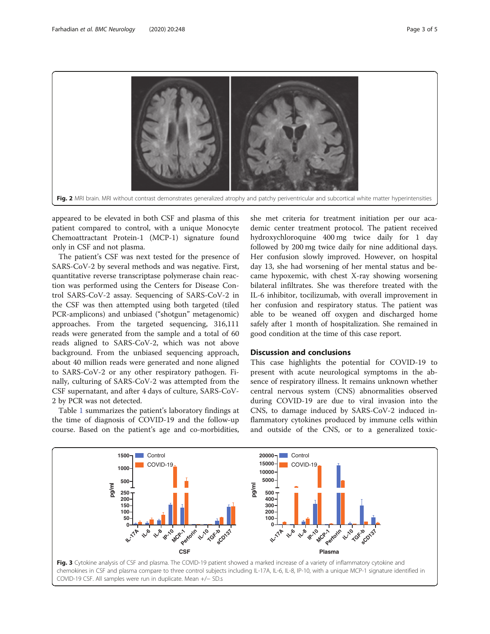

appeared to be elevated in both CSF and plasma of this patient compared to control, with a unique Monocyte Chemoattractant Protein-1 (MCP-1) signature found only in CSF and not plasma.

The patient's CSF was next tested for the presence of SARS-CoV-2 by several methods and was negative. First, quantitative reverse transcriptase polymerase chain reaction was performed using the Centers for Disease Control SARS-CoV-2 assay. Sequencing of SARS-CoV-2 in the CSF was then attempted using both targeted (tiled PCR-amplicons) and unbiased ("shotgun" metagenomic) approaches. From the targeted sequencing, 316,111 reads were generated from the sample and a total of 60 reads aligned to SARS-CoV-2, which was not above background. From the unbiased sequencing approach, about 40 million reads were generated and none aligned to SARS-CoV-2 or any other respiratory pathogen. Finally, culturing of SARS-CoV-2 was attempted from the CSF supernatant, and after 4 days of culture, SARS-CoV-2 by PCR was not detected.

Table 1 summarizes the patient's laboratory findings at the time of diagnosis of COVID-19 and the follow-up course. Based on the patient's age and co-morbidities,

she met criteria for treatment initiation per our academic center treatment protocol. The patient received hydroxychloroquine 400 mg twice daily for 1 day followed by 200 mg twice daily for nine additional days. Her confusion slowly improved. However, on hospital day 13, she had worsening of her mental status and became hypoxemic, with chest X-ray showing worsening bilateral infiltrates. She was therefore treated with the IL-6 inhibitor, tocilizumab, with overall improvement in her confusion and respiratory status. The patient was able to be weaned off oxygen and discharged home safely after 1 month of hospitalization. She remained in good condition at the time of this case report.

#### Discussion and conclusions

This case highlights the potential for COVID-19 to present with acute neurological symptoms in the absence of respiratory illness. It remains unknown whether central nervous system (CNS) abnormalities observed during COVID-19 are due to viral invasion into the CNS, to damage induced by SARS-CoV-2 induced inflammatory cytokines produced by immune cells within and outside of the CNS, or to a generalized toxic-

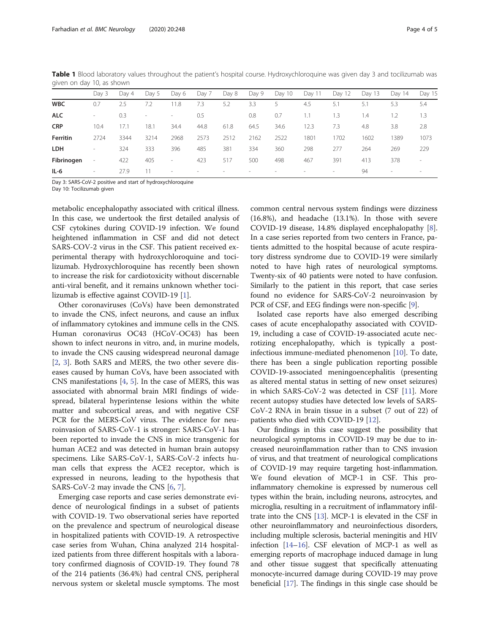|            | Day 3                    | Dav 4 | Day 5                    | Day 6                    | Day 7  | Day 8  | Day 9                    | Day 10                   | Day 11 | Day 12                   | Day 13 | Day 14                   | Day 15                   |
|------------|--------------------------|-------|--------------------------|--------------------------|--------|--------|--------------------------|--------------------------|--------|--------------------------|--------|--------------------------|--------------------------|
| <b>WBC</b> | 0.7                      | 2.5   | 7.2                      | 11.8                     | 7.3    | 5.2    | 3.3                      |                          | 4.5    | 5.1                      | 5.1    | 5.3                      | 5.4                      |
| <b>ALC</b> | $\overline{\phantom{a}}$ | 0.3   | $\overline{\phantom{a}}$ | $\sim$                   | 0.5    |        | 0.8                      | 0.7                      |        | 1.3                      | 1.4    | 1.2                      | 1.3                      |
| <b>CRP</b> | 10.4                     | 17.1  | 18.1                     | 34.4                     | 44.8   | 61.8   | 64.5                     | 34.6                     | 12.3   | 7.3                      | 4.8    | 3.8                      | 2.8                      |
| Ferritin   | 2724                     | 3344  | 3214                     | 2968                     | 2573   | 2512   | 2162                     | 2522                     | 1801   | 1702                     | 1602   | 1389                     | 1073                     |
| <b>LDH</b> | $\overline{\phantom{a}}$ | 324   | 333                      | 396                      | 485    | 381    | 334                      | 360                      | 298    | 277                      | 264    | 269                      | 229                      |
| Fibrinogen | $\overline{\phantom{a}}$ | 422   | 405                      | $\overline{\phantom{a}}$ | 423    | 517    | 500                      | 498                      | 467    | 391                      | 413    | 378                      | $\overline{\phantom{a}}$ |
| IL-6       | $\sim$                   | 27.9  |                          | $\sim$                   | $\sim$ | $\sim$ | $\overline{\phantom{m}}$ | $\overline{\phantom{a}}$ | $\sim$ | $\overline{\phantom{a}}$ | 94     | $\overline{\phantom{a}}$ | $\sim$                   |

Table 1 Blood laboratory values throughout the patient's hospital course. Hydroxychloroquine was given day 3 and tocilizumab was given on day 10, as shown

Day 3: SARS-CoV-2 positive and start of hydroxychloroquine

Day 10: Tocilizumab given

metabolic encephalopathy associated with critical illness. In this case, we undertook the first detailed analysis of CSF cytokines during COVID-19 infection. We found heightened inflammation in CSF and did not detect SARS-COV-2 virus in the CSF. This patient received experimental therapy with hydroxychloroquine and tocilizumab. Hydroxychloroquine has recently been shown to increase the risk for cardiotoxicity without discernable anti-viral benefit, and it remains unknown whether tocilizumab is effective against COVID-19 [1].

Other coronaviruses (CoVs) have been demonstrated to invade the CNS, infect neurons, and cause an influx of inflammatory cytokines and immune cells in the CNS. Human coronavirus OC43 (HCoV-OC43) has been shown to infect neurons in vitro, and, in murine models, to invade the CNS causing widespread neuronal damage [2, 3]. Both SARS and MERS, the two other severe diseases caused by human CoVs, have been associated with CNS manifestations [4, 5]. In the case of MERS, this was associated with abnormal brain MRI findings of widespread, bilateral hyperintense lesions within the white matter and subcortical areas, and with negative CSF PCR for the MERS-CoV virus. The evidence for neuroinvasion of SARS-CoV-1 is stronger: SARS-CoV-1 has been reported to invade the CNS in mice transgenic for human ACE2 and was detected in human brain autopsy specimens. Like SARS-CoV-1, SARS-CoV-2 infects human cells that express the ACE2 receptor, which is expressed in neurons, leading to the hypothesis that SARS-CoV-2 may invade the CNS [6, 7].

Emerging case reports and case series demonstrate evidence of neurological findings in a subset of patients with COVID-19. Two observational series have reported on the prevalence and spectrum of neurological disease in hospitalized patients with COVID-19. A retrospective case series from Wuhan, China analyzed 214 hospitalized patients from three different hospitals with a laboratory confirmed diagnosis of COVID-19. They found 78 of the 214 patients (36.4%) had central CNS, peripheral nervous system or skeletal muscle symptoms. The most

common central nervous system findings were dizziness (16.8%), and headache (13.1%). In those with severe COVID-19 disease, 14.8% displayed encephalopathy [8]. In a case series reported from two centers in France, patients admitted to the hospital because of acute respiratory distress syndrome due to COVID-19 were similarly noted to have high rates of neurological symptoms. Twenty-six of 40 patients were noted to have confusion. Similarly to the patient in this report, that case series found no evidence for SARS-CoV-2 neuroinvasion by PCR of CSF, and EEG findings were non-specific [9].

Isolated case reports have also emerged describing cases of acute encephalopathy associated with COVID-19, including a case of COVID-19-associated acute necrotizing encephalopathy, which is typically a postinfectious immune-mediated phenomenon [10]. To date, there has been a single publication reporting possible COVID-19-associated meningoencephalitis (presenting as altered mental status in setting of new onset seizures) in which SARS-CoV-2 was detected in CSF [11]. More recent autopsy studies have detected low levels of SARS-CoV-2 RNA in brain tissue in a subset (7 out of 22) of patients who died with COVID-19 [12].

Our findings in this case suggest the possibility that neurological symptoms in COVID-19 may be due to increased neuroinflammation rather than to CNS invasion of virus, and that treatment of neurological complications of COVID-19 may require targeting host-inflammation. We found elevation of MCP-1 in CSF. This proinflammatory chemokine is expressed by numerous cell types within the brain, including neurons, astrocytes, and microglia, resulting in a recruitment of inflammatory infiltrate into the CNS [13]. MCP-1 is elevated in the CSF in other neuroinflammatory and neuroinfectious disorders, including multiple sclerosis, bacterial meningitis and HIV infection [14–16]. CSF elevation of MCP-1 as well as emerging reports of macrophage induced damage in lung and other tissue suggest that specifically attenuating monocyte-incurred damage during COVID-19 may prove beneficial [17]. The findings in this single case should be